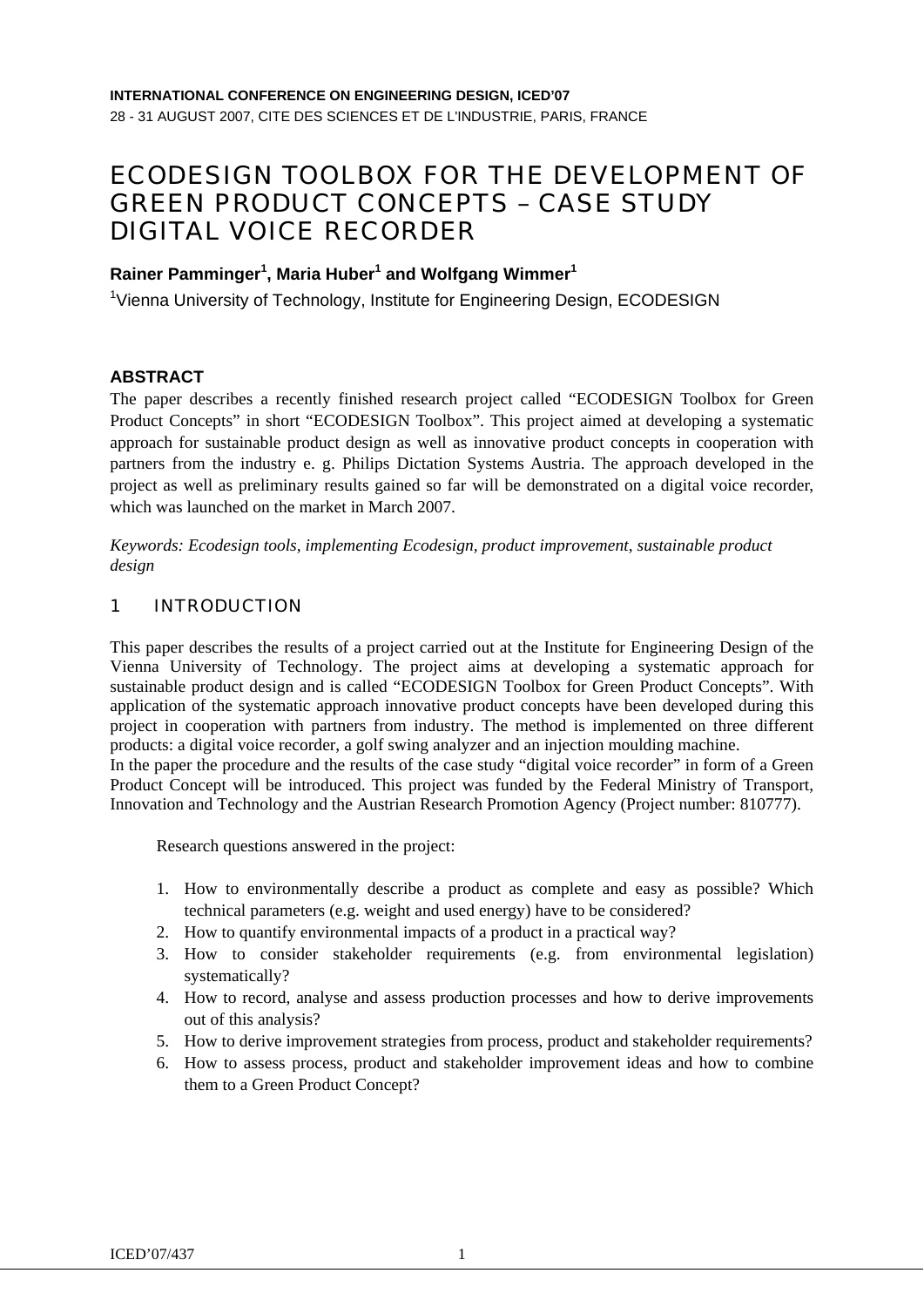# ECODESIGN TOOLBOX FOR THE DEVELOPMENT OF GREEN PRODUCT CONCEPTS – CASE STUDY DIGITAL VOICE RECORDER

# **Rainer Pamminger1 , Maria Huber1 and Wolfgang Wimmer1**

<sup>1</sup>Vienna University of Technology, Institute for Engineering Design, ECODESIGN

## **ABSTRACT**

The paper describes a recently finished research project called "ECODESIGN Toolbox for Green Product Concepts" in short "ECODESIGN Toolbox". This project aimed at developing a systematic approach for sustainable product design as well as innovative product concepts in cooperation with partners from the industry e. g. Philips Dictation Systems Austria. The approach developed in the project as well as preliminary results gained so far will be demonstrated on a digital voice recorder, which was launched on the market in March 2007.

*Keywords: Ecodesign tools, implementing Ecodesign, product improvement, sustainable product design* 

## 1 INTRODUCTION

This paper describes the results of a project carried out at the Institute for Engineering Design of the Vienna University of Technology. The project aims at developing a systematic approach for sustainable product design and is called "ECODESIGN Toolbox for Green Product Concepts". With application of the systematic approach innovative product concepts have been developed during this project in cooperation with partners from industry. The method is implemented on three different products: a digital voice recorder, a golf swing analyzer and an injection moulding machine.

In the paper the procedure and the results of the case study "digital voice recorder" in form of a Green Product Concept will be introduced. This project was funded by the Federal Ministry of Transport, Innovation and Technology and the Austrian Research Promotion Agency (Project number: 810777).

Research questions answered in the project:

- 1. How to environmentally describe a product as complete and easy as possible? Which technical parameters (e.g. weight and used energy) have to be considered?
- 2. How to quantify environmental impacts of a product in a practical way?
- 3. How to consider stakeholder requirements (e.g. from environmental legislation) systematically?
- 4. How to record, analyse and assess production processes and how to derive improvements out of this analysis?
- 5. How to derive improvement strategies from process, product and stakeholder requirements?
- 6. How to assess process, product and stakeholder improvement ideas and how to combine them to a Green Product Concept?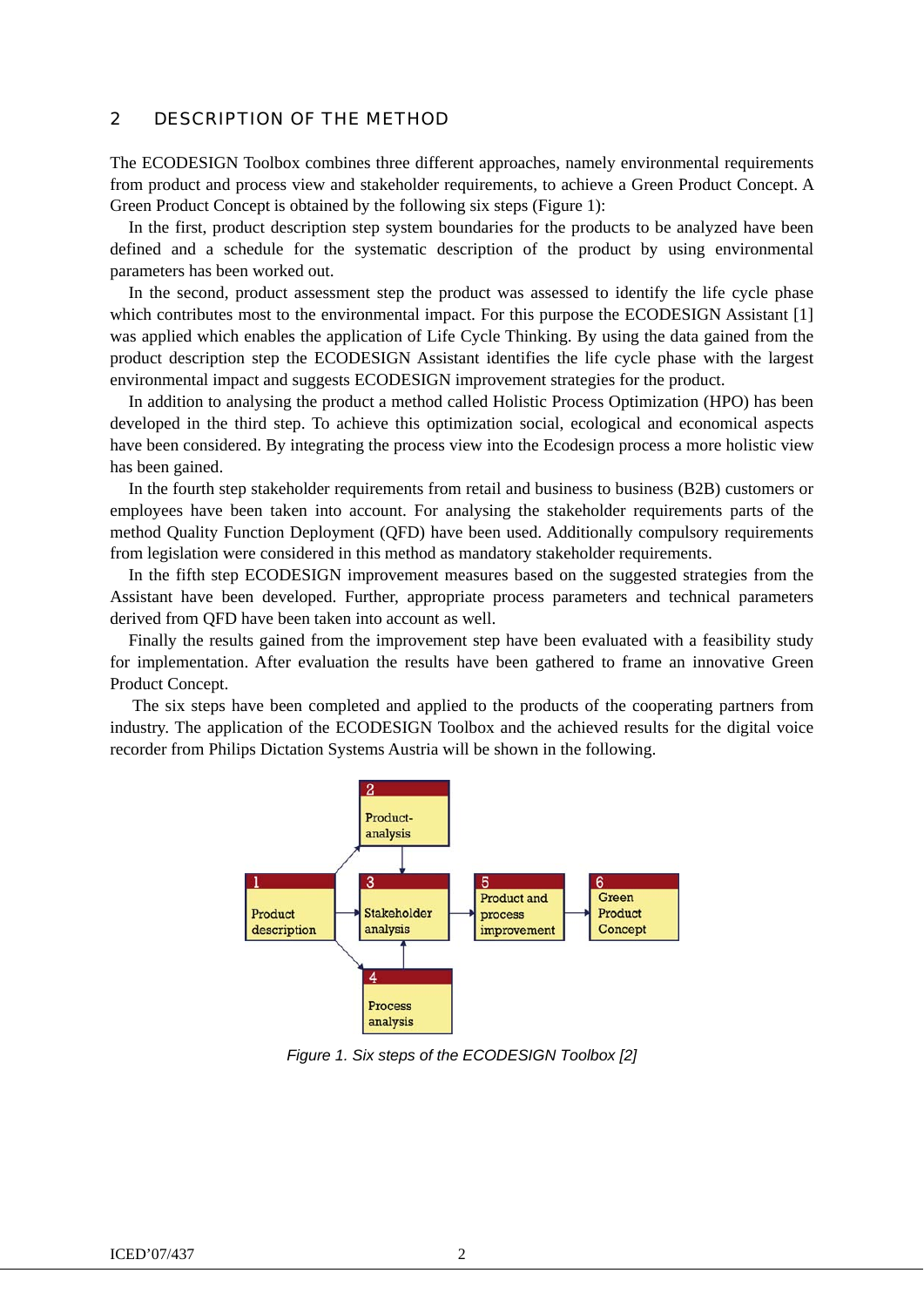#### 2 DESCRIPTION OF THE METHOD

The ECODESIGN Toolbox combines three different approaches, namely environmental requirements from product and process view and stakeholder requirements, to achieve a Green Product Concept. A Green Product Concept is obtained by the following six steps (Figure 1):

In the first, product description step system boundaries for the products to be analyzed have been defined and a schedule for the systematic description of the product by using environmental parameters has been worked out.

In the second, product assessment step the product was assessed to identify the life cycle phase which contributes most to the environmental impact. For this purpose the ECODESIGN Assistant [1] was applied which enables the application of Life Cycle Thinking. By using the data gained from the product description step the ECODESIGN Assistant identifies the life cycle phase with the largest environmental impact and suggests ECODESIGN improvement strategies for the product.

In addition to analysing the product a method called Holistic Process Optimization (HPO) has been developed in the third step. To achieve this optimization social, ecological and economical aspects have been considered. By integrating the process view into the Ecodesign process a more holistic view has been gained.

In the fourth step stakeholder requirements from retail and business to business (B2B) customers or employees have been taken into account. For analysing the stakeholder requirements parts of the method Quality Function Deployment (QFD) have been used. Additionally compulsory requirements from legislation were considered in this method as mandatory stakeholder requirements.

In the fifth step ECODESIGN improvement measures based on the suggested strategies from the Assistant have been developed. Further, appropriate process parameters and technical parameters derived from QFD have been taken into account as well.

Finally the results gained from the improvement step have been evaluated with a feasibility study for implementation. After evaluation the results have been gathered to frame an innovative Green Product Concept.

 The six steps have been completed and applied to the products of the cooperating partners from industry. The application of the ECODESIGN Toolbox and the achieved results for the digital voice recorder from Philips Dictation Systems Austria will be shown in the following.



*Figure 1. Six steps of the ECODESIGN Toolbox [2]*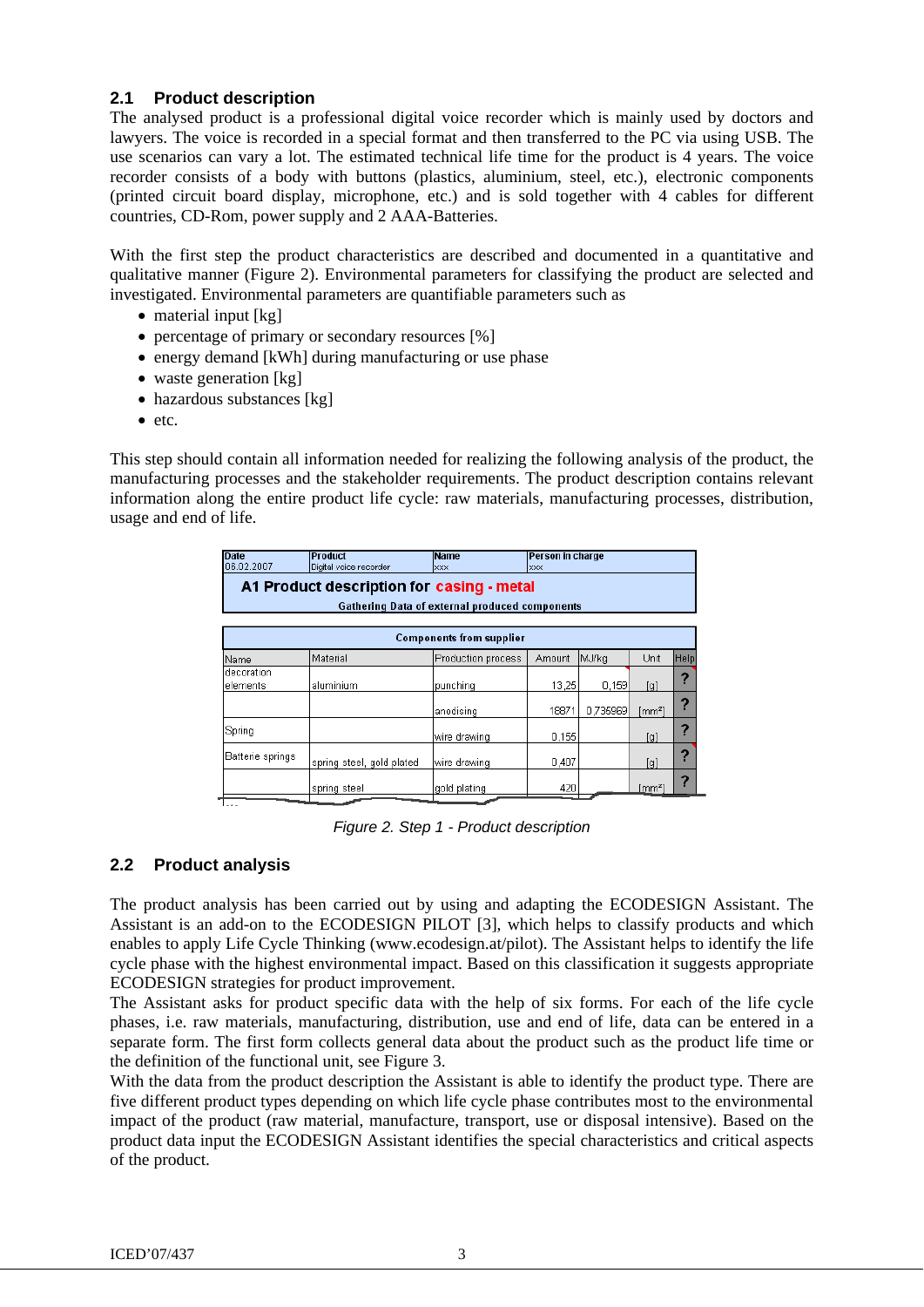# **2.1 Product description**

The analysed product is a professional digital voice recorder which is mainly used by doctors and lawyers. The voice is recorded in a special format and then transferred to the PC via using USB. The use scenarios can vary a lot. The estimated technical life time for the product is 4 years. The voice recorder consists of a body with buttons (plastics, aluminium, steel, etc.), electronic components (printed circuit board display, microphone, etc.) and is sold together with 4 cables for different countries, CD-Rom, power supply and 2 AAA-Batteries.

With the first step the product characteristics are described and documented in a quantitative and qualitative manner (Figure 2). Environmental parameters for classifying the product are selected and investigated. Environmental parameters are quantifiable parameters such as

- material input [kg]
- percentage of primary or secondary resources [%]
- energy demand [kWh] during manufacturing or use phase
- waste generation [kg]
- hazardous substances [kg]
- etc.

This step should contain all information needed for realizing the following analysis of the product, the manufacturing processes and the stakeholder requirements. The product description contains relevant information along the entire product life cycle: raw materials, manufacturing processes, distribution, usage and end of life.

| <b>Date</b><br>06.02.2007                                                                                                                                | <b>Product</b>            | <b>Name</b>        | Person in charge |          |                      |      |  |
|----------------------------------------------------------------------------------------------------------------------------------------------------------|---------------------------|--------------------|------------------|----------|----------------------|------|--|
| Digital voice recorder<br><b>XXX</b><br><b>XXX</b><br>A1 Product description for casing - metal<br><b>Gathering Data of external produced components</b> |                           |                    |                  |          |                      |      |  |
| <b>Components from supplier</b>                                                                                                                          |                           |                    |                  |          |                      |      |  |
| Name                                                                                                                                                     | Material                  | Production process | Amount           | MJ/kg    | Unit                 | Help |  |
| decoration<br>elements                                                                                                                                   | aluminium                 | punching           | 13,25            | 0,159    | [g]                  | 2    |  |
|                                                                                                                                                          |                           | anodising          | 18871            | 0.735969 | [mm²]                | 2    |  |
| Spring                                                                                                                                                   |                           | wire drawing       | 0,155            |          | [g]                  | ?    |  |
| Batterie springs                                                                                                                                         | spring steel, gold plated | wire drawing       | 0,407            |          | [g]                  | 2    |  |
|                                                                                                                                                          | spring steel              | gold plating       | 420              |          | $\lceil mm^2 \rceil$ | 2    |  |

*Figure 2. Step 1 - Product description* 

# **2.2 Product analysis**

The product analysis has been carried out by using and adapting the ECODESIGN Assistant. The Assistant is an add-on to the ECODESIGN PILOT [3], which helps to classify products and which enables to apply Life Cycle Thinking (www.ecodesign.at/pilot). The Assistant helps to identify the life cycle phase with the highest environmental impact. Based on this classification it suggests appropriate ECODESIGN strategies for product improvement.

The Assistant asks for product specific data with the help of six forms. For each of the life cycle phases, i.e. raw materials, manufacturing, distribution, use and end of life, data can be entered in a separate form. The first form collects general data about the product such as the product life time or the definition of the functional unit, see Figure 3.

With the data from the product description the Assistant is able to identify the product type. There are five different product types depending on which life cycle phase contributes most to the environmental impact of the product (raw material, manufacture, transport, use or disposal intensive). Based on the product data input the ECODESIGN Assistant identifies the special characteristics and critical aspects of the product.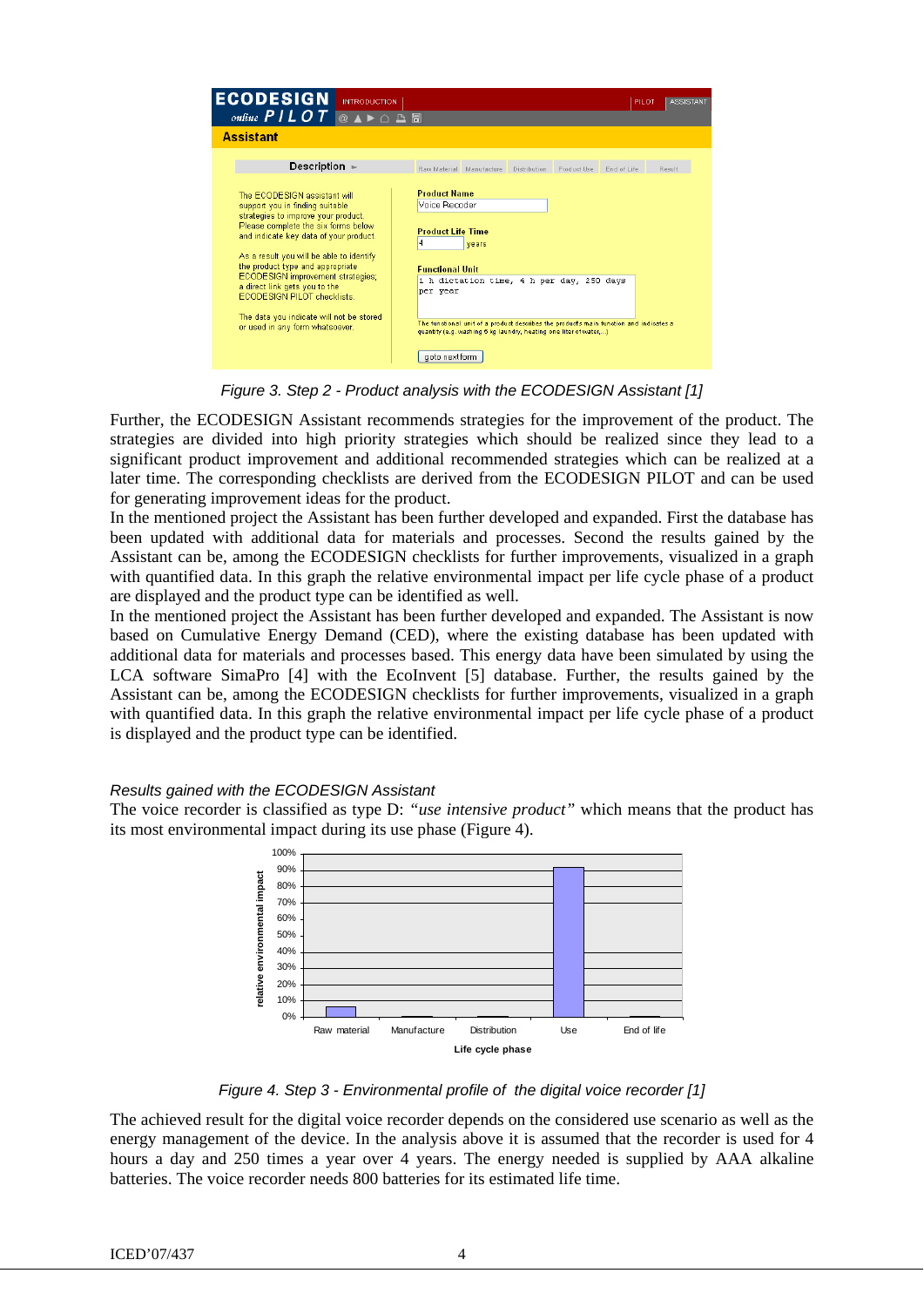| <b>ECODESIGN</b><br>online $PILOT$                                                                                                                                                                                                                                                                                                                                                                                                                                 | <b>INTRODUCTION</b><br>$@$ $\bullet \bullet \bullet \bullet \text{ } \triangle \text{ } \blacksquare$ |                                                                                                                               |       |              |                                                                                                                | PILOT                                                                                  | <b>ASSISTANT</b> |
|--------------------------------------------------------------------------------------------------------------------------------------------------------------------------------------------------------------------------------------------------------------------------------------------------------------------------------------------------------------------------------------------------------------------------------------------------------------------|-------------------------------------------------------------------------------------------------------|-------------------------------------------------------------------------------------------------------------------------------|-------|--------------|----------------------------------------------------------------------------------------------------------------|----------------------------------------------------------------------------------------|------------------|
| <b>Assistant</b>                                                                                                                                                                                                                                                                                                                                                                                                                                                   |                                                                                                       |                                                                                                                               |       |              |                                                                                                                |                                                                                        |                  |
| Description $\blacktriangleright$                                                                                                                                                                                                                                                                                                                                                                                                                                  |                                                                                                       | Raw Material Manufacture                                                                                                      |       | Distribution | Product Use                                                                                                    | End of Life                                                                            | Result           |
| The ECODESIGN assistant will<br>support you in finding suitable<br>strategies to improve your product.<br>Please complete the six forms below<br>and indicate key data of your product.<br>As a result you will be able to identify<br>the product type and appropriate<br>ECODESIGN improvement strategies;<br>a direct link gets you to the<br><b>ECODESIGN PILOT checklists.</b><br>The data you indicate will not be stored<br>or used in any form whatsoever. |                                                                                                       | <b>Product Name</b><br>Vnice Becoder<br><b>Product Life Time</b><br>4<br><b>Eunctional Unit</b><br>per year<br>aoto next form | years |              | 1 h dictation time, 4 h per day, 250 days<br>quantity (e.g. washing 5 kg laundry, heating one liter of water,) | The functional unit of a product describes the product's main function and indicates a |                  |

*Figure 3. Step 2 - Product analysis with the ECODESIGN Assistant [1]* 

Further, the ECODESIGN Assistant recommends strategies for the improvement of the product. The strategies are divided into high priority strategies which should be realized since they lead to a significant product improvement and additional recommended strategies which can be realized at a later time. The corresponding checklists are derived from the ECODESIGN PILOT and can be used for generating improvement ideas for the product.

In the mentioned project the Assistant has been further developed and expanded. First the database has been updated with additional data for materials and processes. Second the results gained by the Assistant can be, among the ECODESIGN checklists for further improvements, visualized in a graph with quantified data. In this graph the relative environmental impact per life cycle phase of a product are displayed and the product type can be identified as well.

In the mentioned project the Assistant has been further developed and expanded. The Assistant is now based on Cumulative Energy Demand (CED), where the existing database has been updated with additional data for materials and processes based. This energy data have been simulated by using the LCA software SimaPro [4] with the EcoInvent [5] database. Further, the results gained by the Assistant can be, among the ECODESIGN checklists for further improvements, visualized in a graph with quantified data. In this graph the relative environmental impact per life cycle phase of a product is displayed and the product type can be identified.

## *Results gained with the ECODESIGN Assistant*

The voice recorder is classified as type D: *"use intensive product"* which means that the product has its most environmental impact during its use phase (Figure 4).



*Figure 4. Step 3 - Environmental profile of the digital voice recorder [1]* 

The achieved result for the digital voice recorder depends on the considered use scenario as well as the energy management of the device. In the analysis above it is assumed that the recorder is used for 4 hours a day and 250 times a year over 4 years. The energy needed is supplied by AAA alkaline batteries. The voice recorder needs 800 batteries for its estimated life time.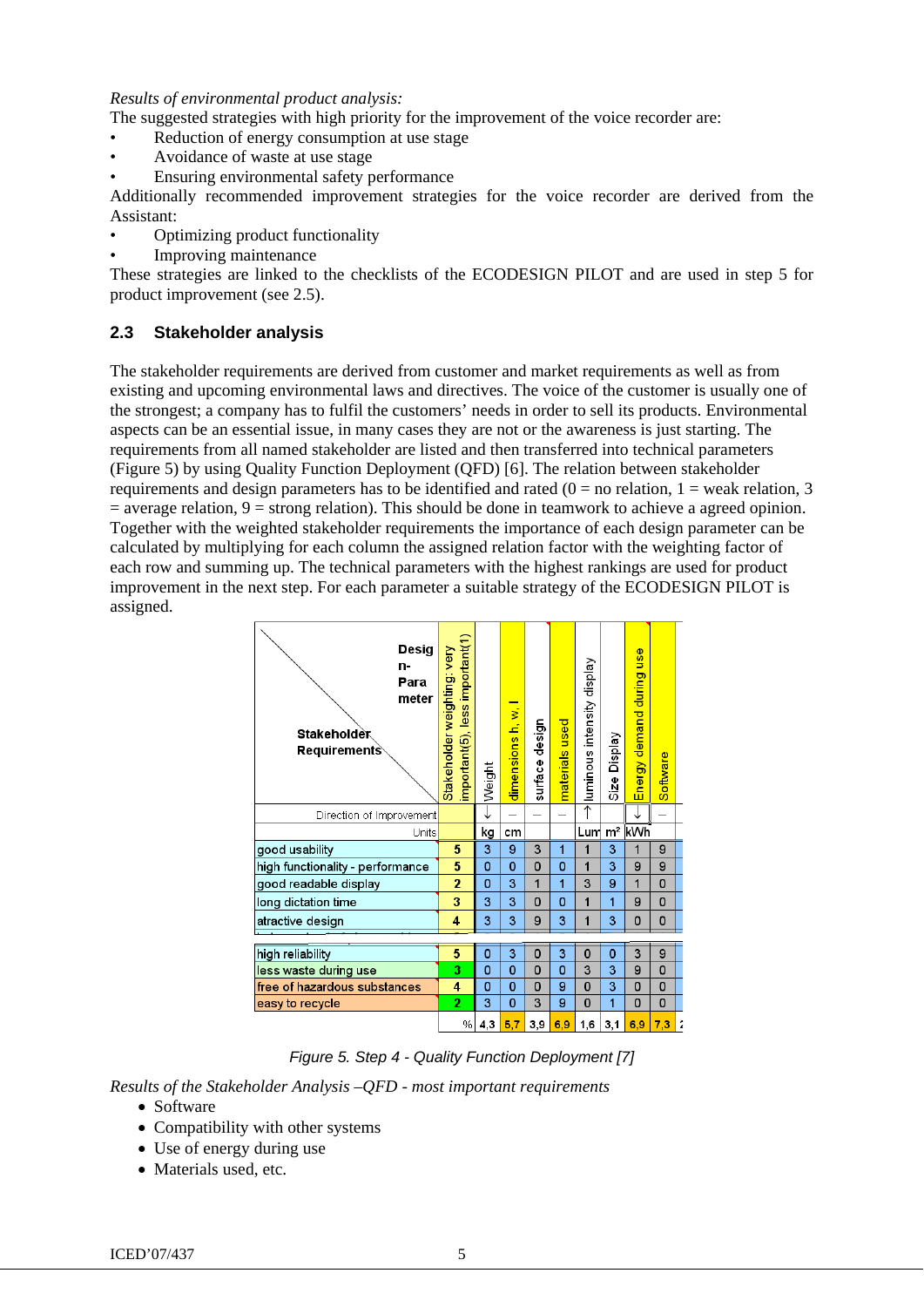#### *Results of environmental product analysis:*

The suggested strategies with high priority for the improvement of the voice recorder are:

- Reduction of energy consumption at use stage
- Avoidance of waste at use stage
- Ensuring environmental safety performance

Additionally recommended improvement strategies for the voice recorder are derived from the Assistant:

- Optimizing product functionality
- Improving maintenance

These strategies are linked to the checklists of the ECODESIGN PILOT and are used in step 5 for product improvement (see 2.5).

## **2.3 Stakeholder analysis**

The stakeholder requirements are derived from customer and market requirements as well as from existing and upcoming environmental laws and directives. The voice of the customer is usually one of the strongest; a company has to fulfil the customers' needs in order to sell its products. Environmental aspects can be an essential issue, in many cases they are not or the awareness is just starting. The requirements from all named stakeholder are listed and then transferred into technical parameters (Figure 5) by using Quality Function Deployment (QFD) [6]. The relation between stakeholder requirements and design parameters has to be identified and rated ( $0 =$  no relation, 1 = weak relation, 3  $=$  average relation,  $9 =$  strong relation). This should be done in teamwork to achieve a agreed opinion. Together with the weighted stakeholder requirements the importance of each design parameter can be calculated by multiplying for each column the assigned relation factor with the weighting factor of each row and summing up. The technical parameters with the highest rankings are used for product improvement in the next step. For each parameter a suitable strategy of the ECODESIGN PILOT is assigned.



*Figure 5. Step 4 - Quality Function Deployment [7]* 

*Results of the Stakeholder Analysis –QFD - most important requirements* 

- Software
- Compatibility with other systems
- Use of energy during use
- Materials used, etc.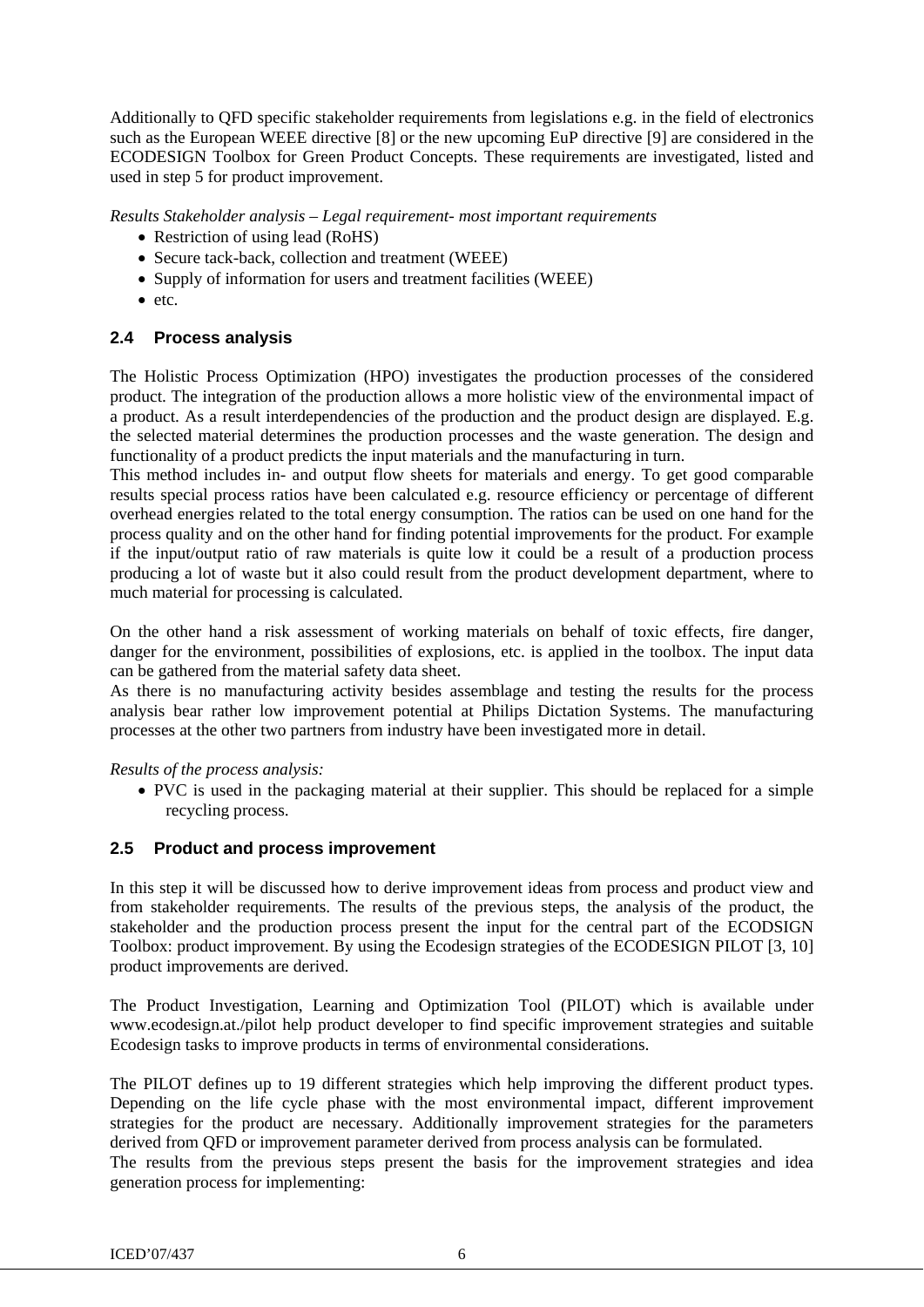Additionally to QFD specific stakeholder requirements from legislations e.g. in the field of electronics such as the European WEEE directive [8] or the new upcoming EuP directive [9] are considered in the ECODESIGN Toolbox for Green Product Concepts. These requirements are investigated, listed and used in step 5 for product improvement.

*Results Stakeholder analysis – Legal requirement- most important requirements* 

- Restriction of using lead (RoHS)
- Secure tack-back, collection and treatment (WEEE)
- Supply of information for users and treatment facilities (WEEE)
- etc.

# **2.4 Process analysis**

The Holistic Process Optimization (HPO) investigates the production processes of the considered product. The integration of the production allows a more holistic view of the environmental impact of a product. As a result interdependencies of the production and the product design are displayed. E.g. the selected material determines the production processes and the waste generation. The design and functionality of a product predicts the input materials and the manufacturing in turn.

This method includes in- and output flow sheets for materials and energy. To get good comparable results special process ratios have been calculated e.g. resource efficiency or percentage of different overhead energies related to the total energy consumption. The ratios can be used on one hand for the process quality and on the other hand for finding potential improvements for the product. For example if the input/output ratio of raw materials is quite low it could be a result of a production process producing a lot of waste but it also could result from the product development department, where to much material for processing is calculated.

On the other hand a risk assessment of working materials on behalf of toxic effects, fire danger, danger for the environment, possibilities of explosions, etc. is applied in the toolbox. The input data can be gathered from the material safety data sheet.

As there is no manufacturing activity besides assemblage and testing the results for the process analysis bear rather low improvement potential at Philips Dictation Systems. The manufacturing processes at the other two partners from industry have been investigated more in detail.

*Results of the process analysis:* 

• PVC is used in the packaging material at their supplier. This should be replaced for a simple recycling process.

## **2.5 Product and process improvement**

In this step it will be discussed how to derive improvement ideas from process and product view and from stakeholder requirements. The results of the previous steps, the analysis of the product, the stakeholder and the production process present the input for the central part of the ECODSIGN Toolbox: product improvement. By using the Ecodesign strategies of the ECODESIGN PILOT [3, 10] product improvements are derived.

The Product Investigation, Learning and Optimization Tool (PILOT) which is available under www.ecodesign.at./pilot help product developer to find specific improvement strategies and suitable Ecodesign tasks to improve products in terms of environmental considerations.

The PILOT defines up to 19 different strategies which help improving the different product types. Depending on the life cycle phase with the most environmental impact, different improvement strategies for the product are necessary. Additionally improvement strategies for the parameters derived from QFD or improvement parameter derived from process analysis can be formulated.

The results from the previous steps present the basis for the improvement strategies and idea generation process for implementing: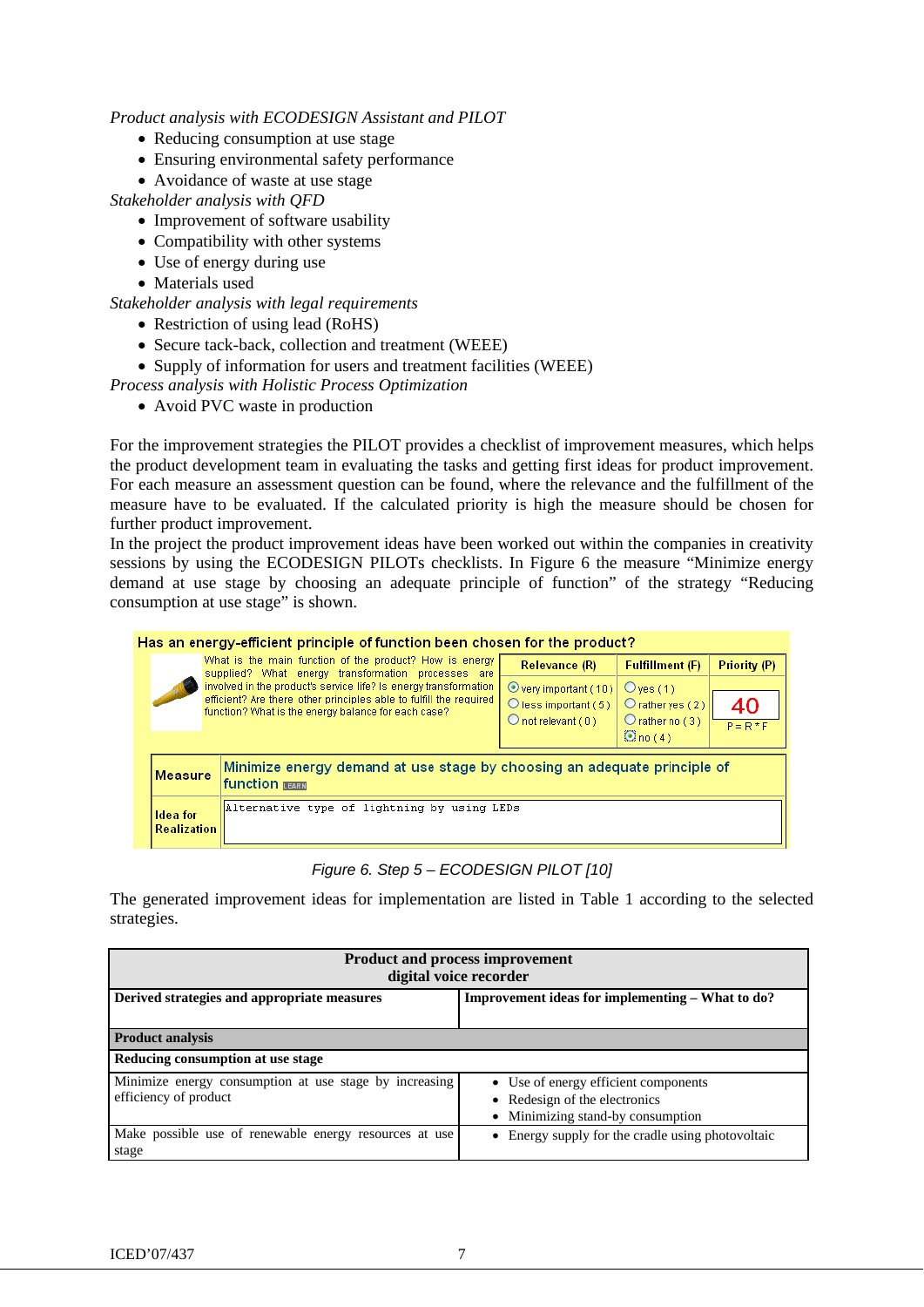*Product analysis with ECODESIGN Assistant and PILOT* 

- Reducing consumption at use stage
- Ensuring environmental safety performance
- Avoidance of waste at use stage

*Stakeholder analysis with QFD* 

- Improvement of software usability
- Compatibility with other systems
- Use of energy during use
- Materials used

*Stakeholder analysis with legal requirements* 

- Restriction of using lead (RoHS)
- Secure tack-back, collection and treatment (WEEE)
- Supply of information for users and treatment facilities (WEEE)

*Process analysis with Holistic Process Optimization* 

• Avoid PVC waste in production

For the improvement strategies the PILOT provides a checklist of improvement measures, which helps the product development team in evaluating the tasks and getting first ideas for product improvement. For each measure an assessment question can be found, where the relevance and the fulfillment of the measure have to be evaluated. If the calculated priority is high the measure should be chosen for further product improvement.

In the project the product improvement ideas have been worked out within the companies in creativity sessions by using the ECODESIGN PILOTs checklists. In Figure 6 the measure "Minimize energy demand at use stage by choosing an adequate principle of function" of the strategy "Reducing consumption at use stage" is shown.

|                                                                               | Has an energy-efficient principle of function been chosen for the product?                                                                                                                    |                                                                                                               |                                                                                                          |                                                                                       |                   |  |  |
|-------------------------------------------------------------------------------|-----------------------------------------------------------------------------------------------------------------------------------------------------------------------------------------------|---------------------------------------------------------------------------------------------------------------|----------------------------------------------------------------------------------------------------------|---------------------------------------------------------------------------------------|-------------------|--|--|
|                                                                               |                                                                                                                                                                                               | What is the main function of the product? How is energy<br>supplied? What energy transformation processes are | Relevance (R)                                                                                            | <b>Fulfillment (F)</b>                                                                | Priority (P)      |  |  |
|                                                                               | involved in the product's service life? Is energy transformation<br>efficient? Are there other principles able to fulfill the required<br>function? What is the energy balance for each case? |                                                                                                               | $\odot$ very important (10)<br>$\bigcirc$ less important (5)<br>$\bigcirc$ not relevant ( 0 ) $\bigcirc$ | $O$ ves $(1)$<br>$O$ rather yes $(2)$ .<br>$O$ rather no $(3)$<br>$\mathbb{Q}$ no (4) | 40<br>$P = R * F$ |  |  |
|                                                                               | Minimize energy demand at use stage by choosing an adequate principle of<br>Measure<br><b>function LEARN</b>                                                                                  |                                                                                                               |                                                                                                          |                                                                                       |                   |  |  |
| Alternative type of lightning by using LEDs<br>Idea for<br><b>Realization</b> |                                                                                                                                                                                               |                                                                                                               |                                                                                                          |                                                                                       |                   |  |  |

*Figure 6. Step 5 – ECODESIGN PILOT [10]* 

The generated improvement ideas for implementation are listed in Table 1 according to the selected strategies.

| <b>Product and process improvement</b><br>digital voice recorder                |                                                                                                            |  |  |  |
|---------------------------------------------------------------------------------|------------------------------------------------------------------------------------------------------------|--|--|--|
| Derived strategies and appropriate measures                                     | Improvement ideas for implementing – What to do?                                                           |  |  |  |
| <b>Product analysis</b>                                                         |                                                                                                            |  |  |  |
| Reducing consumption at use stage                                               |                                                                                                            |  |  |  |
| Minimize energy consumption at use stage by increasing<br>efficiency of product | • Use of energy efficient components<br>• Redesign of the electronics<br>• Minimizing stand-by consumption |  |  |  |
| Make possible use of renewable energy resources at use<br>stage                 | • Energy supply for the cradle using photovoltaic                                                          |  |  |  |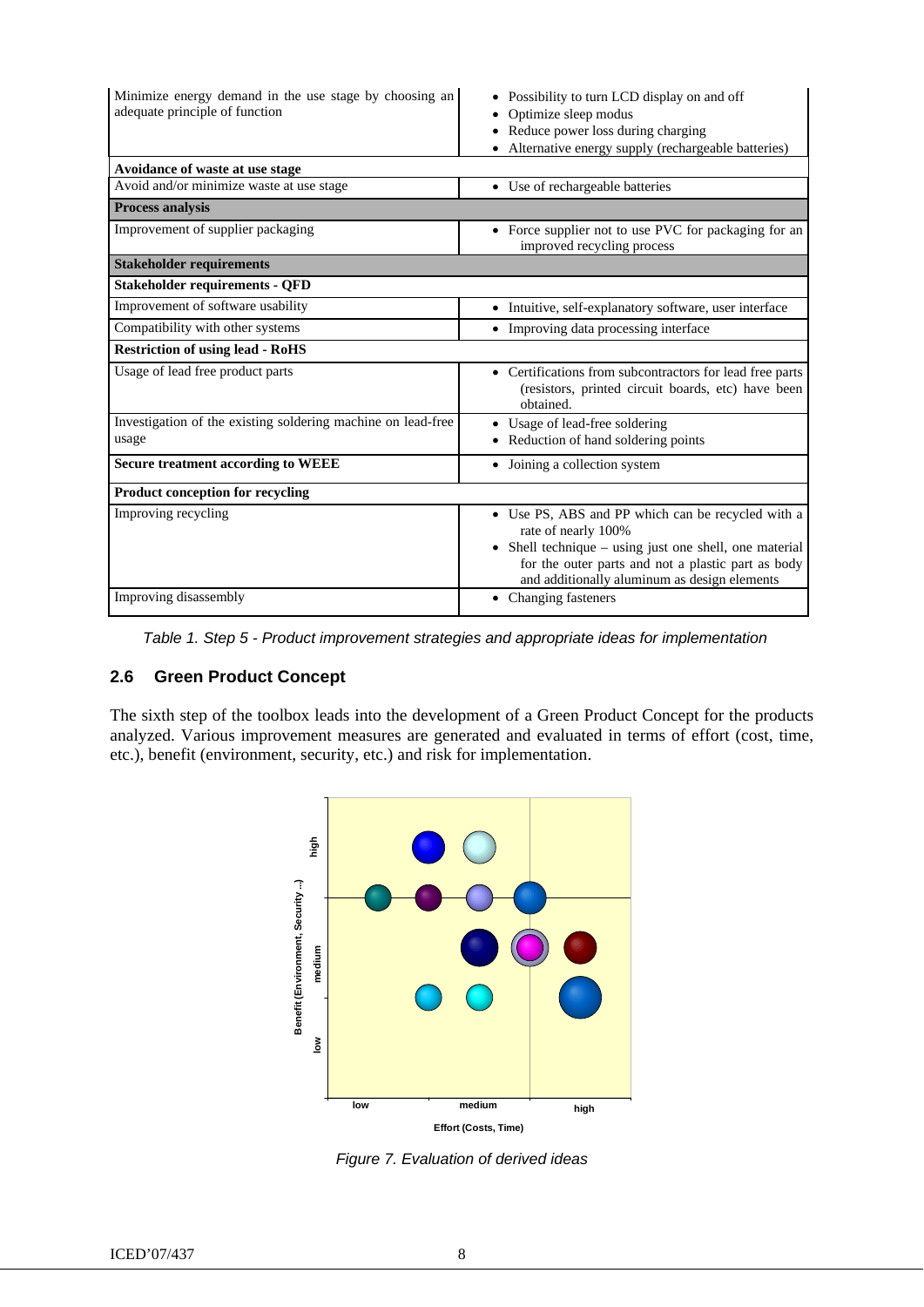| Minimize energy demand in the use stage by choosing an<br>adequate principle of function | Possibility to turn LCD display on and off<br>Optimize sleep modus<br>• Reduce power loss during charging<br>• Alternative energy supply (rechargeable batteries)                                                                        |  |  |  |
|------------------------------------------------------------------------------------------|------------------------------------------------------------------------------------------------------------------------------------------------------------------------------------------------------------------------------------------|--|--|--|
| Avoidance of waste at use stage                                                          |                                                                                                                                                                                                                                          |  |  |  |
| Avoid and/or minimize waste at use stage                                                 | • Use of rechargeable batteries                                                                                                                                                                                                          |  |  |  |
| <b>Process analysis</b>                                                                  |                                                                                                                                                                                                                                          |  |  |  |
| Improvement of supplier packaging                                                        | • Force supplier not to use PVC for packaging for an<br>improved recycling process                                                                                                                                                       |  |  |  |
| <b>Stakeholder requirements</b>                                                          |                                                                                                                                                                                                                                          |  |  |  |
| <b>Stakeholder requirements - QFD</b>                                                    |                                                                                                                                                                                                                                          |  |  |  |
| Improvement of software usability                                                        | • Intuitive, self-explanatory software, user interface                                                                                                                                                                                   |  |  |  |
| Compatibility with other systems                                                         | • Improving data processing interface                                                                                                                                                                                                    |  |  |  |
| <b>Restriction of using lead - RoHS</b>                                                  |                                                                                                                                                                                                                                          |  |  |  |
| Usage of lead free product parts                                                         | • Certifications from subcontractors for lead free parts<br>(resistors, printed circuit boards, etc) have been<br>obtained.                                                                                                              |  |  |  |
| Investigation of the existing soldering machine on lead-free                             | • Usage of lead-free soldering                                                                                                                                                                                                           |  |  |  |
| usage                                                                                    | • Reduction of hand soldering points                                                                                                                                                                                                     |  |  |  |
| <b>Secure treatment according to WEEE</b>                                                | • Joining a collection system                                                                                                                                                                                                            |  |  |  |
| Product conception for recycling                                                         |                                                                                                                                                                                                                                          |  |  |  |
| Improving recycling                                                                      | • Use PS, ABS and PP which can be recycled with a<br>rate of nearly 100%<br>• Shell technique – using just one shell, one material<br>for the outer parts and not a plastic part as body<br>and additionally aluminum as design elements |  |  |  |
| Improving disassembly                                                                    | • Changing fasteners                                                                                                                                                                                                                     |  |  |  |

 *Table 1. Step 5 - Product improvement strategies and appropriate ideas for implementation* 

# **2.6 Green Product Concept**

The sixth step of the toolbox leads into the development of a Green Product Concept for the products analyzed. Various improvement measures are generated and evaluated in terms of effort (cost, time, etc.), benefit (environment, security, etc.) and risk for implementation.



*Figure 7. Evaluation of derived ideas*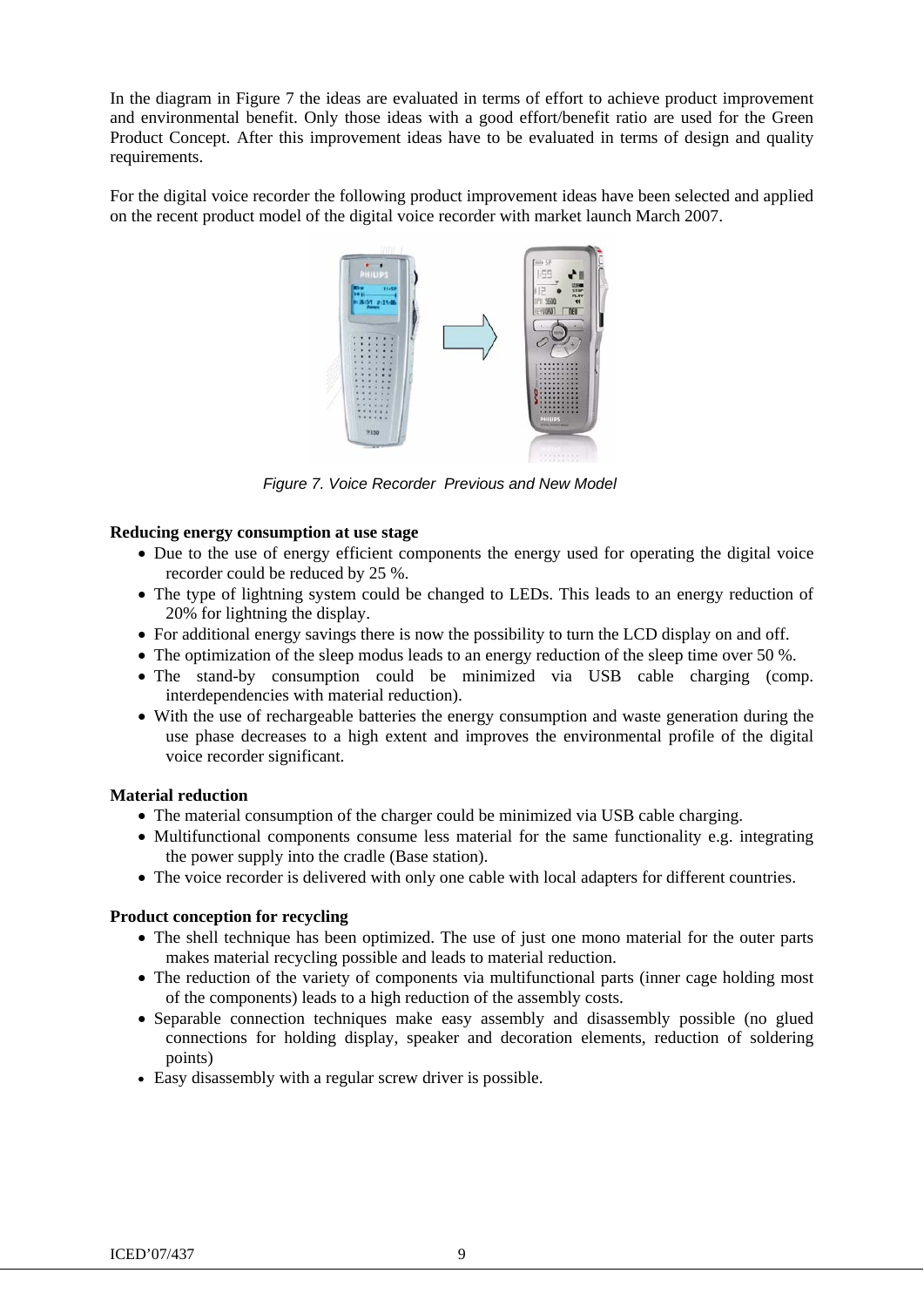In the diagram in Figure 7 the ideas are evaluated in terms of effort to achieve product improvement and environmental benefit. Only those ideas with a good effort/benefit ratio are used for the Green Product Concept. After this improvement ideas have to be evaluated in terms of design and quality requirements.

For the digital voice recorder the following product improvement ideas have been selected and applied on the recent product model of the digital voice recorder with market launch March 2007.



*Figure 7. Voice Recorder Previous and New Model* 

#### **Reducing energy consumption at use stage**

- Due to the use of energy efficient components the energy used for operating the digital voice recorder could be reduced by 25 %.
- The type of lightning system could be changed to LEDs. This leads to an energy reduction of 20% for lightning the display.
- For additional energy savings there is now the possibility to turn the LCD display on and off.
- The optimization of the sleep modus leads to an energy reduction of the sleep time over 50 %.
- The stand-by consumption could be minimized via USB cable charging (comp. interdependencies with material reduction).
- With the use of rechargeable batteries the energy consumption and waste generation during the use phase decreases to a high extent and improves the environmental profile of the digital voice recorder significant.

#### **Material reduction**

- The material consumption of the charger could be minimized via USB cable charging.
- Multifunctional components consume less material for the same functionality e.g. integrating the power supply into the cradle (Base station).
- The voice recorder is delivered with only one cable with local adapters for different countries.

## **Product conception for recycling**

- The shell technique has been optimized. The use of just one mono material for the outer parts makes material recycling possible and leads to material reduction.
- The reduction of the variety of components via multifunctional parts (inner cage holding most of the components) leads to a high reduction of the assembly costs.
- Separable connection techniques make easy assembly and disassembly possible (no glued connections for holding display, speaker and decoration elements, reduction of soldering points)
- Easy disassembly with a regular screw driver is possible.